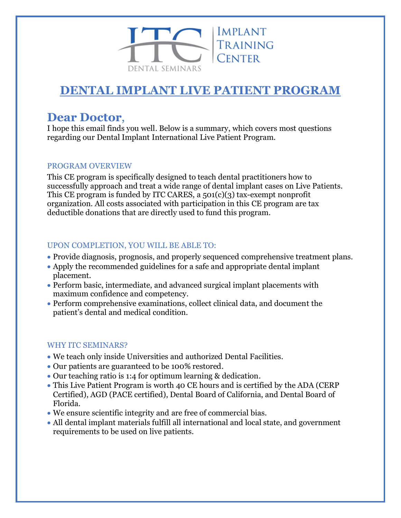

# **DENTAL IMPLANT LIVE PATIENT PROGRAM**

# **Dear Doctor**,

I hope this email finds you well. Below is a summary, which covers most questions regarding our Dental Implant International Live Patient Program.

## PROGRAM OVERVIEW

This CE program is specifically designed to teach dental practitioners how to successfully approach and treat a wide range of dental implant cases on Live Patients. This CE program is funded by ITC CARES, a 501(c)(3) tax-exempt nonprofit organization. All costs associated with participation in this CE program are tax deductible donations that are directly used to fund this program.

# UPON COMPLETION, YOU WILL BE ABLE TO:

- Provide diagnosis, prognosis, and properly sequenced comprehensive treatment plans.
- Apply the recommended guidelines for a safe and appropriate dental implant placement.
- Perform basic, intermediate, and advanced surgical implant placements with maximum confidence and competency.
- Perform comprehensive examinations, collect clinical data, and document the patient's dental and medical condition.

# WHY ITC SEMINARS?

- We teach only inside Universities and authorized Dental Facilities.
- Our patients are guaranteed to be 100% restored.
- Our teaching ratio is 1:4 for optimum learning & dedication.
- This Live Patient Program is worth 40 CE hours and is certified by the ADA (CERP Certified), AGD (PACE certified), Dental Board of California, and Dental Board of Florida.
- We ensure scientific integrity and are free of commercial bias.
- All dental implant materials fulfill all international and local state, and government requirements to be used on live patients.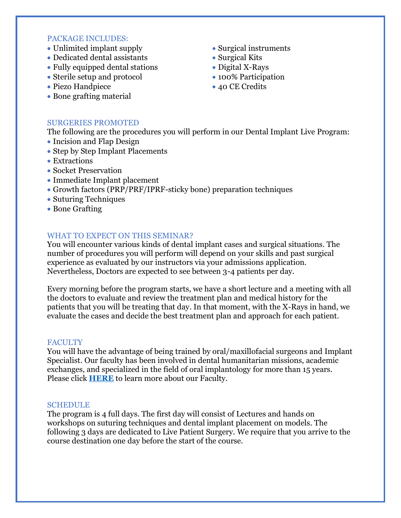#### PACKAGE INCLUDES:

- Unlimited implant supply
- Dedicated dental assistants
- Fully equipped dental stations
- Sterile setup and protocol
- Piezo Handpiece
- Bone grafting material
- Surgical instruments
- Surgical Kits
- Digital X-Rays
- 100% Participation
- 40 CE Credits

#### SURGERIES PROMOTED

The following are the procedures you will perform in our Dental Implant Live Program:

- Incision and Flap Design
- Step by Step Implant Placements
- Extractions
- Socket Preservation
- Immediate Implant placement
- Growth factors (PRP/PRF/IPRF-sticky bone) preparation techniques
- Suturing Techniques
- Bone Grafting

## WHAT TO EXPECT ON THIS SEMINAR?

You will encounter various kinds of dental implant cases and surgical situations. The number of procedures you will perform will depend on your skills and past surgical experience as evaluated by our instructors via your admissions application. Nevertheless, Doctors are expected to see between 3-4 patients per day.

Every morning before the program starts, we have a short lecture and a meeting with all the doctors to evaluate and review the treatment plan and medical history for the patients that you will be treating that day. In that moment, with the X-Rays in hand, we evaluate the cases and decide the best treatment plan and approach for each patient.

#### **FACULTY**

You will have the advantage of being trained by oral/maxillofacial surgeons and Implant Specialist. Our faculty has been involved in dental humanitarian missions, academic exchanges, and specialized in the field of oral implantology for more than 15 years. Please click **[HERE](https://www.itcseminars.com/2125-2/)** to learn more about our Faculty.

#### **SCHEDULE**

The program is 4 full days. The first day will consist of Lectures and hands on workshops on suturing techniques and dental implant placement on models. The following 3 days are dedicated to Live Patient Surgery. We require that you arrive to the course destination one day before the start of the course.